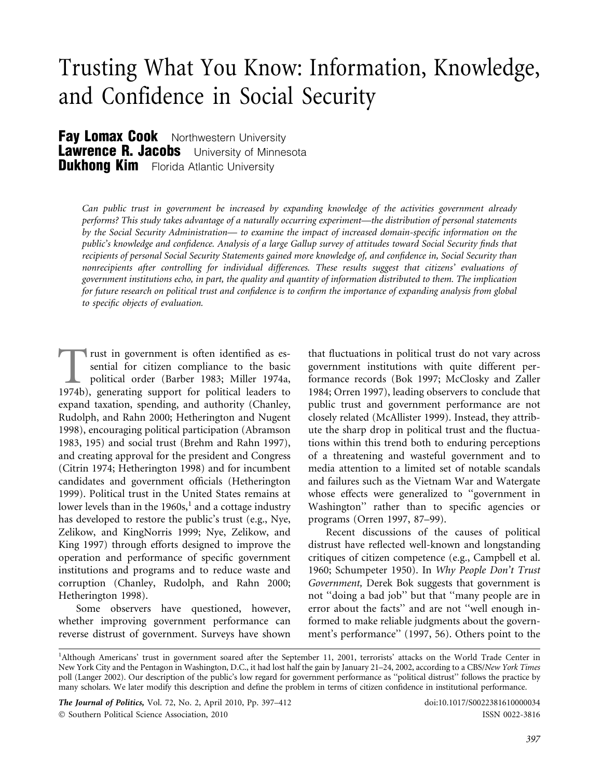# Trusting What You Know: Information, Knowledge, and Confidence in Social Security

**Fay Lomax Cook** Northwestern University Lawrence R. Jacobs University of Minnesota **Dukhong Kim** Florida Atlantic University

Can public trust in government be increased by expanding knowledge of the activities government already performs? This study takes advantage of a naturally occurring experiment—the distribution of personal statements by the Social Security Administration— to examine the impact of increased domain-specific information on the public's knowledge and confidence. Analysis of a large Gallup survey of attitudes toward Social Security finds that recipients of personal Social Security Statements gained more knowledge of, and confidence in, Social Security than nonrecipients after controlling for individual differences. These results suggest that citizens' evaluations of government institutions echo, in part, the quality and quantity of information distributed to them. The implication for future research on political trust and confidence is to confirm the importance of expanding analysis from global to specific objects of evaluation.

Trust in government is often identified as essential for citizen compliance to the basic political order (Barber 1983; Miller 1974a, 1974b), generating support for political leaders to sential for citizen compliance to the basic political order (Barber 1983; Miller 1974a, expand taxation, spending, and authority (Chanley, Rudolph, and Rahn 2000; Hetherington and Nugent 1998), encouraging political participation (Abramson 1983, 195) and social trust (Brehm and Rahn 1997), and creating approval for the president and Congress (Citrin 1974; Hetherington 1998) and for incumbent candidates and government officials (Hetherington 1999). Political trust in the United States remains at lower levels than in the  $1960s$ ,<sup>1</sup> and a cottage industry has developed to restore the public's trust (e.g., Nye, Zelikow, and KingNorris 1999; Nye, Zelikow, and King 1997) through efforts designed to improve the operation and performance of specific government institutions and programs and to reduce waste and corruption (Chanley, Rudolph, and Rahn 2000; Hetherington 1998).

Some observers have questioned, however, whether improving government performance can reverse distrust of government. Surveys have shown

that fluctuations in political trust do not vary across government institutions with quite different performance records (Bok 1997; McClosky and Zaller 1984; Orren 1997), leading observers to conclude that public trust and government performance are not closely related (McAllister 1999). Instead, they attribute the sharp drop in political trust and the fluctuations within this trend both to enduring perceptions of a threatening and wasteful government and to media attention to a limited set of notable scandals and failures such as the Vietnam War and Watergate whose effects were generalized to ''government in Washington'' rather than to specific agencies or programs (Orren 1997, 87–99).

Recent discussions of the causes of political distrust have reflected well-known and longstanding critiques of citizen competence (e.g., Campbell et al. 1960; Schumpeter 1950). In Why People Don't Trust Government, Derek Bok suggests that government is not ''doing a bad job'' but that ''many people are in error about the facts'' and are not ''well enough informed to make reliable judgments about the government's performance'' (1997, 56). Others point to the

The Journal of Politics, Vol. 72, No. 2, April 2010, Pp. 397–412 doi:10.1017/S0022381610000034 C Southern Political Science Association, 2010 **ISSN 0022-3816** ISSN 0022-3816

<sup>&</sup>lt;sup>1</sup>Although Americans' trust in government soared after the September 11, 2001, terrorists' attacks on the World Trade Center in New York City and the Pentagon in Washington, D.C., it had lost half the gain by January 21–24, 2002, according to a CBS/New York Times poll (Langer 2002). Our description of the public's low regard for government performance as ''political distrust'' follows the practice by many scholars. We later modify this description and define the problem in terms of citizen confidence in institutional performance.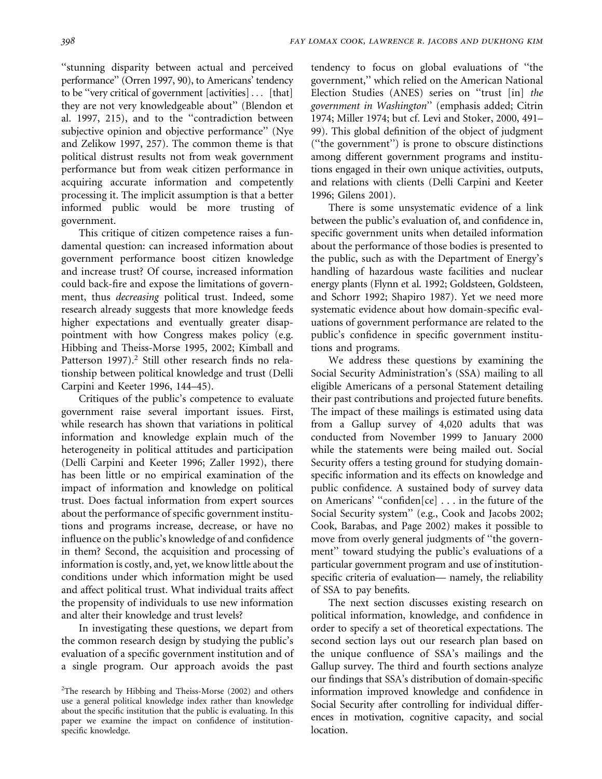''stunning disparity between actual and perceived performance'' (Orren 1997, 90), to Americans' tendency to be ''very critical of government [activities]... [that] they are not very knowledgeable about'' (Blendon et al. 1997, 215), and to the ''contradiction between subjective opinion and objective performance'' (Nye and Zelikow 1997, 257). The common theme is that political distrust results not from weak government performance but from weak citizen performance in acquiring accurate information and competently processing it. The implicit assumption is that a better informed public would be more trusting of government.

This critique of citizen competence raises a fundamental question: can increased information about government performance boost citizen knowledge and increase trust? Of course, increased information could back-fire and expose the limitations of government, thus decreasing political trust. Indeed, some research already suggests that more knowledge feeds higher expectations and eventually greater disappointment with how Congress makes policy (e.g. Hibbing and Theiss-Morse 1995, 2002; Kimball and Patterson 1997).<sup>2</sup> Still other research finds no relationship between political knowledge and trust (Delli Carpini and Keeter 1996, 144–45).

Critiques of the public's competence to evaluate government raise several important issues. First, while research has shown that variations in political information and knowledge explain much of the heterogeneity in political attitudes and participation (Delli Carpini and Keeter 1996; Zaller 1992), there has been little or no empirical examination of the impact of information and knowledge on political trust. Does factual information from expert sources about the performance of specific government institutions and programs increase, decrease, or have no influence on the public's knowledge of and confidence in them? Second, the acquisition and processing of information is costly, and, yet, we know little about the conditions under which information might be used and affect political trust. What individual traits affect the propensity of individuals to use new information and alter their knowledge and trust levels?

In investigating these questions, we depart from the common research design by studying the public's evaluation of a specific government institution and of a single program. Our approach avoids the past tendency to focus on global evaluations of ''the government,'' which relied on the American National Election Studies (ANES) series on ''trust [in] the government in Washington'' (emphasis added; Citrin 1974; Miller 1974; but cf. Levi and Stoker, 2000, 491– 99). This global definition of the object of judgment (''the government'') is prone to obscure distinctions among different government programs and institutions engaged in their own unique activities, outputs, and relations with clients (Delli Carpini and Keeter 1996; Gilens 2001).

There is some unsystematic evidence of a link between the public's evaluation of, and confidence in, specific government units when detailed information about the performance of those bodies is presented to the public, such as with the Department of Energy's handling of hazardous waste facilities and nuclear energy plants (Flynn et al. 1992; Goldsteen, Goldsteen, and Schorr 1992; Shapiro 1987). Yet we need more systematic evidence about how domain-specific evaluations of government performance are related to the public's confidence in specific government institutions and programs.

We address these questions by examining the Social Security Administration's (SSA) mailing to all eligible Americans of a personal Statement detailing their past contributions and projected future benefits. The impact of these mailings is estimated using data from a Gallup survey of 4,020 adults that was conducted from November 1999 to January 2000 while the statements were being mailed out. Social Security offers a testing ground for studying domainspecific information and its effects on knowledge and public confidence. A sustained body of survey data on Americans' ''confiden[ce] . . . in the future of the Social Security system'' (e.g., Cook and Jacobs 2002; Cook, Barabas, and Page 2002) makes it possible to move from overly general judgments of ''the government'' toward studying the public's evaluations of a particular government program and use of institutionspecific criteria of evaluation— namely, the reliability of SSA to pay benefits.

The next section discusses existing research on political information, knowledge, and confidence in order to specify a set of theoretical expectations. The second section lays out our research plan based on the unique confluence of SSA's mailings and the Gallup survey. The third and fourth sections analyze our findings that SSA's distribution of domain-specific information improved knowledge and confidence in Social Security after controlling for individual differences in motivation, cognitive capacity, and social location.

<sup>&</sup>lt;sup>2</sup>The research by Hibbing and Theiss-Morse (2002) and others use a general political knowledge index rather than knowledge about the specific institution that the public is evaluating. In this paper we examine the impact on confidence of institutionspecific knowledge.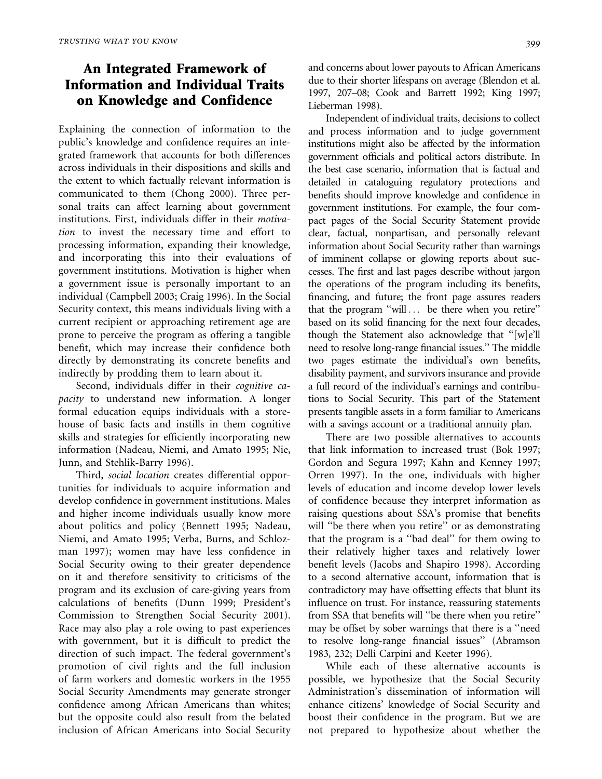# An Integrated Framework of Information and Individual Traits on Knowledge and Confidence

Explaining the connection of information to the public's knowledge and confidence requires an integrated framework that accounts for both differences across individuals in their dispositions and skills and the extent to which factually relevant information is communicated to them (Chong 2000). Three personal traits can affect learning about government institutions. First, individuals differ in their motivation to invest the necessary time and effort to processing information, expanding their knowledge, and incorporating this into their evaluations of government institutions. Motivation is higher when a government issue is personally important to an individual (Campbell 2003; Craig 1996). In the Social Security context, this means individuals living with a current recipient or approaching retirement age are prone to perceive the program as offering a tangible benefit, which may increase their confidence both directly by demonstrating its concrete benefits and indirectly by prodding them to learn about it.

Second, individuals differ in their cognitive capacity to understand new information. A longer formal education equips individuals with a storehouse of basic facts and instills in them cognitive skills and strategies for efficiently incorporating new information (Nadeau, Niemi, and Amato 1995; Nie, Junn, and Stehlik-Barry 1996).

Third, social location creates differential opportunities for individuals to acquire information and develop confidence in government institutions. Males and higher income individuals usually know more about politics and policy (Bennett 1995; Nadeau, Niemi, and Amato 1995; Verba, Burns, and Schlozman 1997); women may have less confidence in Social Security owing to their greater dependence on it and therefore sensitivity to criticisms of the program and its exclusion of care-giving years from calculations of benefits (Dunn 1999; President's Commission to Strengthen Social Security 2001). Race may also play a role owing to past experiences with government, but it is difficult to predict the direction of such impact. The federal government's promotion of civil rights and the full inclusion of farm workers and domestic workers in the 1955 Social Security Amendments may generate stronger confidence among African Americans than whites; but the opposite could also result from the belated inclusion of African Americans into Social Security

and concerns about lower payouts to African Americans due to their shorter lifespans on average (Blendon et al. 1997, 207–08; Cook and Barrett 1992; King 1997; Lieberman 1998).

Independent of individual traits, decisions to collect and process information and to judge government institutions might also be affected by the information government officials and political actors distribute. In the best case scenario, information that is factual and detailed in cataloguing regulatory protections and benefits should improve knowledge and confidence in government institutions. For example, the four compact pages of the Social Security Statement provide clear, factual, nonpartisan, and personally relevant information about Social Security rather than warnings of imminent collapse or glowing reports about successes. The first and last pages describe without jargon the operations of the program including its benefits, financing, and future; the front page assures readers that the program ''will ... be there when you retire'' based on its solid financing for the next four decades, though the Statement also acknowledge that ''[w]e'll need to resolve long-range financial issues.'' The middle two pages estimate the individual's own benefits, disability payment, and survivors insurance and provide a full record of the individual's earnings and contributions to Social Security. This part of the Statement presents tangible assets in a form familiar to Americans with a savings account or a traditional annuity plan.

There are two possible alternatives to accounts that link information to increased trust (Bok 1997; Gordon and Segura 1997; Kahn and Kenney 1997; Orren 1997). In the one, individuals with higher levels of education and income develop lower levels of confidence because they interpret information as raising questions about SSA's promise that benefits will ''be there when you retire'' or as demonstrating that the program is a ''bad deal'' for them owing to their relatively higher taxes and relatively lower benefit levels (Jacobs and Shapiro 1998). According to a second alternative account, information that is contradictory may have offsetting effects that blunt its influence on trust. For instance, reassuring statements from SSA that benefits will ''be there when you retire'' may be offset by sober warnings that there is a ''need to resolve long-range financial issues'' (Abramson 1983, 232; Delli Carpini and Keeter 1996).

While each of these alternative accounts is possible, we hypothesize that the Social Security Administration's dissemination of information will enhance citizens' knowledge of Social Security and boost their confidence in the program. But we are not prepared to hypothesize about whether the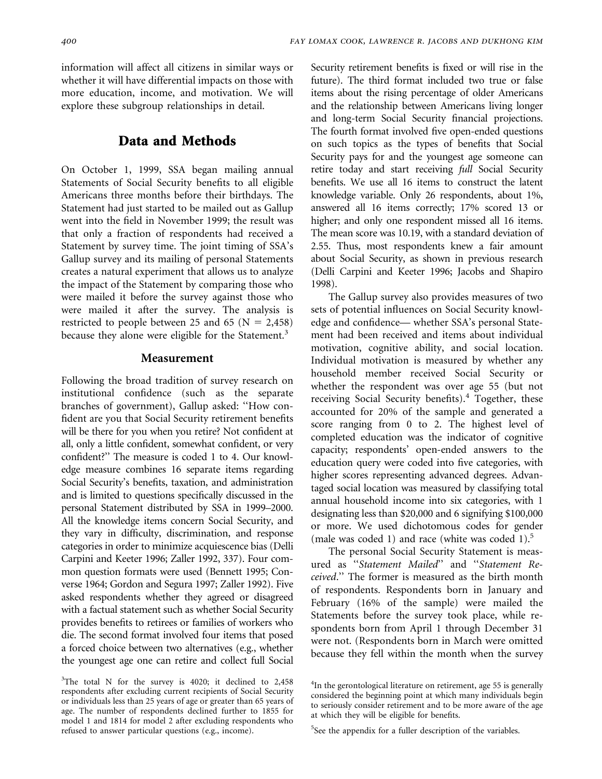information will affect all citizens in similar ways or whether it will have differential impacts on those with more education, income, and motivation. We will explore these subgroup relationships in detail.

## Data and Methods

On October 1, 1999, SSA began mailing annual Statements of Social Security benefits to all eligible Americans three months before their birthdays. The Statement had just started to be mailed out as Gallup went into the field in November 1999; the result was that only a fraction of respondents had received a Statement by survey time. The joint timing of SSA's Gallup survey and its mailing of personal Statements creates a natural experiment that allows us to analyze the impact of the Statement by comparing those who were mailed it before the survey against those who were mailed it after the survey. The analysis is restricted to people between 25 and 65 ( $N = 2,458$ ) because they alone were eligible for the Statement.<sup>3</sup>

#### Measurement

Following the broad tradition of survey research on institutional confidence (such as the separate branches of government), Gallup asked: ''How confident are you that Social Security retirement benefits will be there for you when you retire? Not confident at all, only a little confident, somewhat confident, or very confident?'' The measure is coded 1 to 4. Our knowledge measure combines 16 separate items regarding Social Security's benefits, taxation, and administration and is limited to questions specifically discussed in the personal Statement distributed by SSA in 1999–2000. All the knowledge items concern Social Security, and they vary in difficulty, discrimination, and response categories in order to minimize acquiescence bias (Delli Carpini and Keeter 1996; Zaller 1992, 337). Four common question formats were used (Bennett 1995; Converse 1964; Gordon and Segura 1997; Zaller 1992). Five asked respondents whether they agreed or disagreed with a factual statement such as whether Social Security provides benefits to retirees or families of workers who die. The second format involved four items that posed a forced choice between two alternatives (e.g., whether the youngest age one can retire and collect full Social Security retirement benefits is fixed or will rise in the future). The third format included two true or false items about the rising percentage of older Americans and the relationship between Americans living longer and long-term Social Security financial projections. The fourth format involved five open-ended questions on such topics as the types of benefits that Social Security pays for and the youngest age someone can retire today and start receiving full Social Security benefits. We use all 16 items to construct the latent knowledge variable. Only 26 respondents, about 1%, answered all 16 items correctly; 17% scored 13 or higher; and only one respondent missed all 16 items. The mean score was 10.19, with a standard deviation of 2.55. Thus, most respondents knew a fair amount about Social Security, as shown in previous research (Delli Carpini and Keeter 1996; Jacobs and Shapiro 1998).

The Gallup survey also provides measures of two sets of potential influences on Social Security knowledge and confidence— whether SSA's personal Statement had been received and items about individual motivation, cognitive ability, and social location. Individual motivation is measured by whether any household member received Social Security or whether the respondent was over age 55 (but not receiving Social Security benefits).4 Together, these accounted for 20% of the sample and generated a score ranging from 0 to 2. The highest level of completed education was the indicator of cognitive capacity; respondents' open-ended answers to the education query were coded into five categories, with higher scores representing advanced degrees. Advantaged social location was measured by classifying total annual household income into six categories, with 1 designating less than \$20,000 and 6 signifying \$100,000 or more. We used dichotomous codes for gender (male was coded 1) and race (white was coded 1).5

The personal Social Security Statement is measured as ''Statement Mailed'' and ''Statement Received.'' The former is measured as the birth month of respondents. Respondents born in January and February (16% of the sample) were mailed the Statements before the survey took place, while respondents born from April 1 through December 31 were not. (Respondents born in March were omitted because they fell within the month when the survey

<sup>&</sup>lt;sup>3</sup>The total N for the survey is 4020; it declined to 2,458 respondents after excluding current recipients of Social Security or individuals less than 25 years of age or greater than 65 years of age. The number of respondents declined further to 1855 for model 1 and 1814 for model 2 after excluding respondents who refused to answer particular questions (e.g., income).

<sup>&</sup>lt;sup>4</sup>In the gerontological literature on retirement, age 55 is generally considered the beginning point at which many individuals begin to seriously consider retirement and to be more aware of the age at which they will be eligible for benefits.

<sup>&</sup>lt;sup>5</sup>See the appendix for a fuller description of the variables.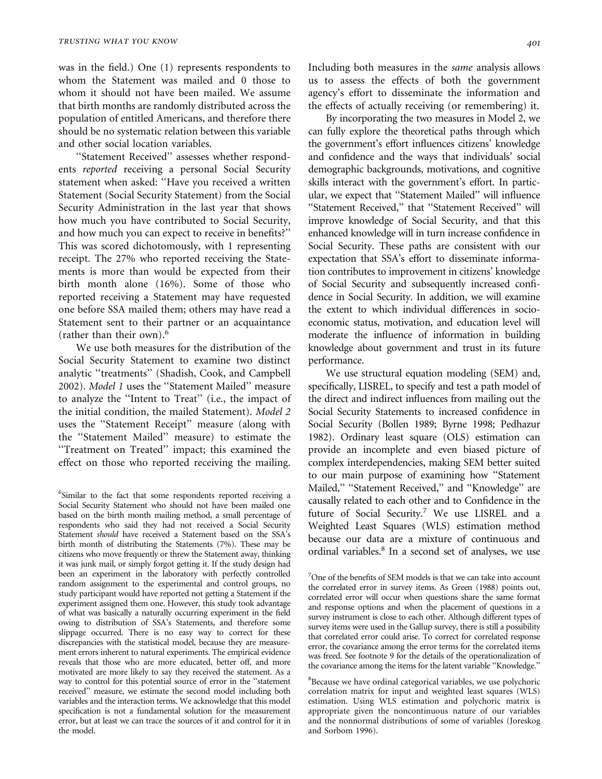was in the field.) One (1) represents respondents to whom the Statement was mailed and 0 those to whom it should not have been mailed. We assume that birth months are randomly distributed across the population of entitled Americans, and therefore there should be no systematic relation between this variable and other social location variables.

"Statement Received" assesses whether respondents reported receiving a personal Social Security statement when asked: ''Have you received a written Statement (Social Security Statement) from the Social Security Administration in the last year that shows how much you have contributed to Social Security, and how much you can expect to receive in benefits?'' This was scored dichotomously, with 1 representing receipt. The 27% who reported receiving the Statements is more than would be expected from their birth month alone (16%). Some of those who reported receiving a Statement may have requested one before SSA mailed them; others may have read a Statement sent to their partner or an acquaintance (rather than their own).<sup>6</sup>

We use both measures for the distribution of the Social Security Statement to examine two distinct analytic ''treatments'' (Shadish, Cook, and Campbell 2002). Model 1 uses the ''Statement Mailed'' measure to analyze the ''Intent to Treat'' (i.e., the impact of the initial condition, the mailed Statement). Model 2 uses the ''Statement Receipt'' measure (along with the ''Statement Mailed'' measure) to estimate the ''Treatment on Treated'' impact; this examined the effect on those who reported receiving the mailing.

Including both measures in the same analysis allows us to assess the effects of both the government agency's effort to disseminate the information and the effects of actually receiving (or remembering) it.

By incorporating the two measures in Model 2, we can fully explore the theoretical paths through which the government's effort influences citizens' knowledge and confidence and the ways that individuals' social demographic backgrounds, motivations, and cognitive skills interact with the government's effort. In particular, we expect that ''Statement Mailed'' will influence "Statement Received," that "Statement Received" will improve knowledge of Social Security, and that this enhanced knowledge will in turn increase confidence in Social Security. These paths are consistent with our expectation that SSA's effort to disseminate information contributes to improvement in citizens' knowledge of Social Security and subsequently increased confidence in Social Security. In addition, we will examine the extent to which individual differences in socioeconomic status, motivation, and education level will moderate the influence of information in building knowledge about government and trust in its future performance.

We use structural equation modeling (SEM) and, specifically, LISREL, to specify and test a path model of the direct and indirect influences from mailing out the Social Security Statements to increased confidence in Social Security (Bollen 1989; Byrne 1998; Pedhazur 1982). Ordinary least square (OLS) estimation can provide an incomplete and even biased picture of complex interdependencies, making SEM better suited to our main purpose of examining how ''Statement Mailed," "Statement Received," and "Knowledge" are causally related to each other and to Confidence in the future of Social Security.<sup>7</sup> We use LISREL and a Weighted Least Squares (WLS) estimation method because our data are a mixture of continuous and ordinal variables.<sup>8</sup> In a second set of analyses, we use

<sup>6</sup> Similar to the fact that some respondents reported receiving a Social Security Statement who should not have been mailed one based on the birth month mailing method, a small percentage of respondents who said they had not received a Social Security Statement should have received a Statement based on the SSA's birth month of distributing the Statements (7%). These may be citizens who move frequently or threw the Statement away, thinking it was junk mail, or simply forgot getting it. If the study design had been an experiment in the laboratory with perfectly controlled random assignment to the experimental and control groups, no study participant would have reported not getting a Statement if the experiment assigned them one. However, this study took advantage of what was basically a naturally occurring experiment in the field owing to distribution of SSA's Statements, and therefore some slippage occurred. There is no easy way to correct for these discrepancies with the statistical model, because they are measurement errors inherent to natural experiments. The empirical evidence reveals that those who are more educated, better off, and more motivated are more likely to say they received the statement. As a way to control for this potential source of error in the ''statement received'' measure, we estimate the second model including both variables and the interaction terms. We acknowledge that this model specification is not a fundamental solution for the measurement error, but at least we can trace the sources of it and control for it in the model.

<sup>&</sup>lt;sup>7</sup>One of the benefits of SEM models is that we can take into account the correlated error in survey items. As Green (1988) points out, correlated error will occur when questions share the same format and response options and when the placement of questions in a survey instrument is close to each other. Although different types of survey items were used in the Gallup survey, there is still a possibility that correlated error could arise. To correct for correlated response error, the covariance among the error terms for the correlated items was freed. See footnote 9 for the details of the operationalization of the covariance among the items for the latent variable ''Knowledge.''

<sup>&</sup>lt;sup>8</sup>Because we have ordinal categorical variables, we use polychoric correlation matrix for input and weighted least squares (WLS) estimation. Using WLS estimation and polychoric matrix is appropriate given the noncontinuous nature of our variables and the nonnormal distributions of some of variables (Joreskog and Sorbom 1996).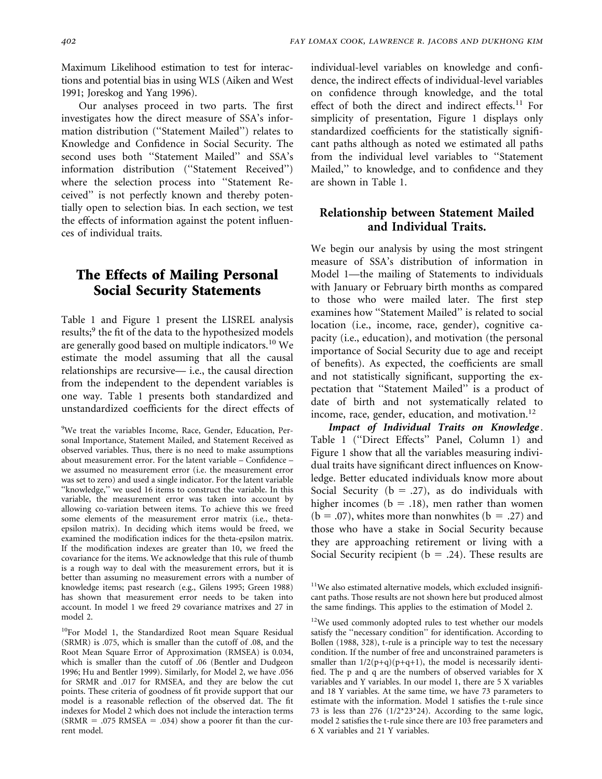Maximum Likelihood estimation to test for interactions and potential bias in using WLS (Aiken and West 1991; Joreskog and Yang 1996).

Our analyses proceed in two parts. The first investigates how the direct measure of SSA's information distribution (''Statement Mailed'') relates to Knowledge and Confidence in Social Security. The second uses both ''Statement Mailed'' and SSA's information distribution (''Statement Received'') where the selection process into ''Statement Received'' is not perfectly known and thereby potentially open to selection bias. In each section, we test the effects of information against the potent influences of individual traits.

# The Effects of Mailing Personal Social Security Statements

Table 1 and Figure 1 present the LISREL analysis results;<sup>9</sup> the fit of the data to the hypothesized models are generally good based on multiple indicators.<sup>10</sup> We estimate the model assuming that all the causal relationships are recursive— i.e., the causal direction from the independent to the dependent variables is one way. Table 1 presents both standardized and unstandardized coefficients for the direct effects of individual-level variables on knowledge and confidence, the indirect effects of individual-level variables on confidence through knowledge, and the total effect of both the direct and indirect effects.<sup>11</sup> For simplicity of presentation, Figure 1 displays only standardized coefficients for the statistically significant paths although as noted we estimated all paths from the individual level variables to ''Statement Mailed,'' to knowledge, and to confidence and they are shown in Table 1.

## Relationship between Statement Mailed and Individual Traits.

We begin our analysis by using the most stringent measure of SSA's distribution of information in Model 1—the mailing of Statements to individuals with January or February birth months as compared to those who were mailed later. The first step examines how ''Statement Mailed'' is related to social location (i.e., income, race, gender), cognitive capacity (i.e., education), and motivation (the personal importance of Social Security due to age and receipt of benefits). As expected, the coefficients are small and not statistically significant, supporting the expectation that ''Statement Mailed'' is a product of date of birth and not systematically related to income, race, gender, education, and motivation.<sup>12</sup>

Impact of Individual Traits on Knowledge . Table 1 (''Direct Effects'' Panel, Column 1) and Figure 1 show that all the variables measuring individual traits have significant direct influences on Knowledge. Better educated individuals know more about Social Security ( $b = .27$ ), as do individuals with higher incomes ( $b = .18$ ), men rather than women  $(b = .07)$ , whites more than nonwhites  $(b = .27)$  and those who have a stake in Social Security because they are approaching retirement or living with a Social Security recipient ( $b = .24$ ). These results are

<sup>&</sup>lt;sup>9</sup>We treat the variables Income, Race, Gender, Education, Personal Importance, Statement Mailed, and Statement Received as observed variables. Thus, there is no need to make assumptions about measurement error. For the latent variable – Confidence – we assumed no measurement error (i.e. the measurement error was set to zero) and used a single indicator. For the latent variable ''knowledge,'' we used 16 items to construct the variable. In this variable, the measurement error was taken into account by allowing co-variation between items. To achieve this we freed some elements of the measurement error matrix (i.e., thetaepsilon matrix). In deciding which items would be freed, we examined the modification indices for the theta-epsilon matrix. If the modification indexes are greater than 10, we freed the covariance for the items. We acknowledge that this rule of thumb is a rough way to deal with the measurement errors, but it is better than assuming no measurement errors with a number of knowledge items; past research (e.g., Gilens 1995; Green 1988) has shown that measurement error needs to be taken into account. In model 1 we freed 29 covariance matrixes and 27 in model 2.

<sup>&</sup>lt;sup>10</sup>For Model 1, the Standardized Root mean Square Residual (SRMR) is .075, which is smaller than the cutoff of .08, and the Root Mean Square Error of Approximation (RMSEA) is 0.034, which is smaller than the cutoff of .06 (Bentler and Dudgeon 1996; Hu and Bentler 1999). Similarly, for Model 2, we have .056 for SRMR and .017 for RMSEA, and they are below the cut points. These criteria of goodness of fit provide support that our model is a reasonable reflection of the observed dat. The fit indexes for Model 2 which does not include the interaction terms  $(SRMR = .075 RMSEA = .034)$  show a poorer fit than the current model.

 $11$ We also estimated alternative models, which excluded insignificant paths. Those results are not shown here but produced almost the same findings. This applies to the estimation of Model 2.

<sup>&</sup>lt;sup>12</sup>We used commonly adopted rules to test whether our models satisfy the "necessary condition" for identification. According to Bollen (1988, 328), t-rule is a principle way to test the necessary condition. If the number of free and unconstrained parameters is smaller than  $1/2(p+q)(p+q+1)$ , the model is necessarily identified. The p and q are the numbers of observed variables for X variables and Y variables. In our model 1, there are 5 X variables and 18 Y variables. At the same time, we have 73 parameters to estimate with the information. Model 1 satisfies the t-rule since 73 is less than 276 ( $1/2*23*24$ ). According to the same logic, model 2 satisfies the t-rule since there are 103 free parameters and 6 X variables and 21 Y variables.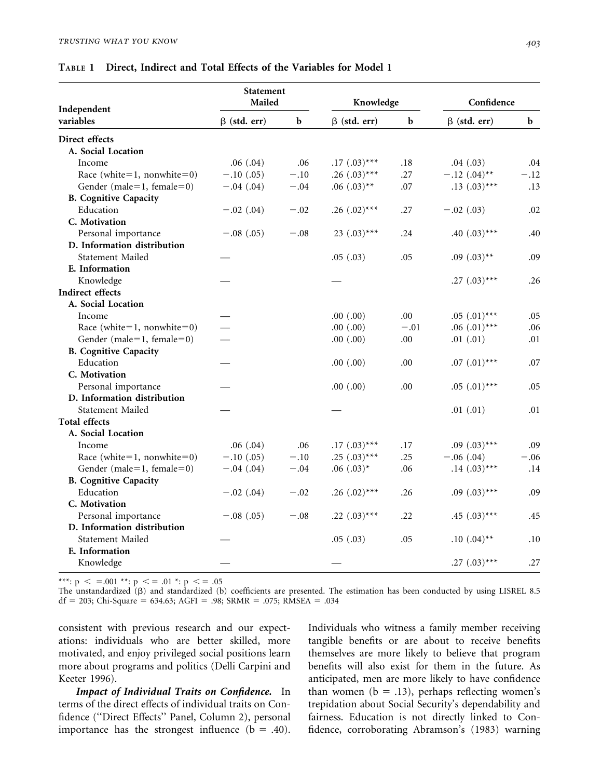| Independent                  | <b>Statement</b><br>Mailed |        | Knowledge                   |             | Confidence                  |        |  |
|------------------------------|----------------------------|--------|-----------------------------|-------------|-----------------------------|--------|--|
| variables                    | $\beta$ (std. err)         | b      | $\beta$ (std. err)          | $\mathbf b$ | $\beta$ (std. err)          | b.     |  |
| Direct effects               |                            |        |                             |             |                             |        |  |
| A. Social Location           |                            |        |                             |             |                             |        |  |
| Income                       | .06(.04)                   | .06    | $.17$ $(.03)***$            | .18         | .04(.03)                    | .04    |  |
| Race (white=1, nonwhite=0)   | $-.10(.05)$                | $-.10$ | .26 $(.03)***$              | .27         | $-.12$ (.04)**              | $-.12$ |  |
| Gender (male=1, female=0)    | $-.04$ (.04)               | $-.04$ | $.06$ $(.03)$ <sup>**</sup> | .07         | $.13$ $(.03)***$            | .13    |  |
| <b>B.</b> Cognitive Capacity |                            |        |                             |             |                             |        |  |
| Education                    | $-.02$ (.04)               | $-.02$ | .26 $(.02)***$              | .27         | $-.02(.03)$                 | .02    |  |
| C. Motivation                |                            |        |                             |             |                             |        |  |
| Personal importance          | $-.08(.05)$                | $-.08$ | 23 $(.03)***$               | .24         | .40 $(.03)***$              | .40    |  |
| D. Information distribution  |                            |        |                             |             |                             |        |  |
| Statement Mailed             |                            |        | .05(.03)                    | .05         | $.09$ $(.03)$ **            | .09    |  |
| E. Information               |                            |        |                             |             |                             |        |  |
| Knowledge                    |                            |        |                             |             | .27 $(.03)***$              | .26    |  |
| Indirect effects             |                            |        |                             |             |                             |        |  |
| A. Social Location           |                            |        |                             |             |                             |        |  |
| Income                       |                            |        | $.00$ $(.00)$               | .00         | $.05$ $(.01)$ ***           | .05    |  |
| Race (white=1, nonwhite=0)   |                            |        | .00(0.00)                   | $-.01$      | $.06$ $(.01)$ ***           | .06    |  |
| Gender (male=1, female=0)    |                            |        | .00(.00)                    | .00         | .01(.01)                    | .01    |  |
| <b>B.</b> Cognitive Capacity |                            |        |                             |             |                             |        |  |
| Education                    |                            |        | .00(.00)                    | .00         | $.07$ $(.01)$ ***           | .07    |  |
| C. Motivation                |                            |        |                             |             |                             |        |  |
| Personal importance          |                            |        | .00(.00)                    | .00         | $.05$ $(.01)$ ***           | .05    |  |
| D. Information distribution  |                            |        |                             |             |                             |        |  |
| Statement Mailed             |                            |        |                             |             | .01(.01)                    | .01    |  |
| <b>Total effects</b>         |                            |        |                             |             |                             |        |  |
| A. Social Location           |                            |        |                             |             |                             |        |  |
| Income                       | .06(.04)                   | .06    | $.17$ $(.03)$ ***           | .17         | $.09$ $(.03)$ ***           | .09    |  |
| Race (white=1, nonwhite=0)   | $-.10(.05)$                | $-.10$ | .25 $(.03)***$              | .25         | $-.06(.04)$                 | $-.06$ |  |
| Gender (male=1, female=0)    | $-.04$ (.04)               | $-.04$ | $.06(.03)^*$                | .06         | .14 $(.03)***$              | .14    |  |
| <b>B.</b> Cognitive Capacity |                            |        |                             |             |                             |        |  |
| Education                    | $-.02$ (.04)               | $-.02$ | .26 $(.02)***$              | .26         | $.09$ $(.03)$ ***           | .09    |  |
| C. Motivation                |                            |        |                             |             |                             |        |  |
| Personal importance          | $-.08(.05)$                | $-.08$ | .22 $(.03)***$              | .22         | .45 $(.03)***$              | .45    |  |
| D. Information distribution  |                            |        |                             |             |                             |        |  |
| Statement Mailed             |                            |        | .05(.03)                    | .05         | $.10$ $(.04)$ <sup>**</sup> | .10    |  |
| E. Information               |                            |        |                             |             |                             |        |  |
| Knowledge                    |                            |        |                             |             | .27 $(.03)***$              | .27    |  |

#### TABLE 1 Direct, Indirect and Total Effects of the Variables for Model 1

\*\*\*:  $p \leq 0.001$  \*\*:  $p \leq 0.01$  \*:  $p \leq 0.05$ 

The unstandardized  $(\beta)$  and standardized (b) coefficients are presented. The estimation has been conducted by using LISREL 8.5 df = 203; Chi-Square = 634.63; AGFI = .98; SRMR = .075; RMSEA = .034

consistent with previous research and our expectations: individuals who are better skilled, more motivated, and enjoy privileged social positions learn more about programs and politics (Delli Carpini and Keeter 1996).

Impact of Individual Traits on Confidence. In terms of the direct effects of individual traits on Confidence (''Direct Effects'' Panel, Column 2), personal importance has the strongest influence ( $b = .40$ ). Individuals who witness a family member receiving tangible benefits or are about to receive benefits themselves are more likely to believe that program benefits will also exist for them in the future. As anticipated, men are more likely to have confidence than women  $(b = .13)$ , perhaps reflecting women's trepidation about Social Security's dependability and fairness. Education is not directly linked to Confidence, corroborating Abramson's (1983) warning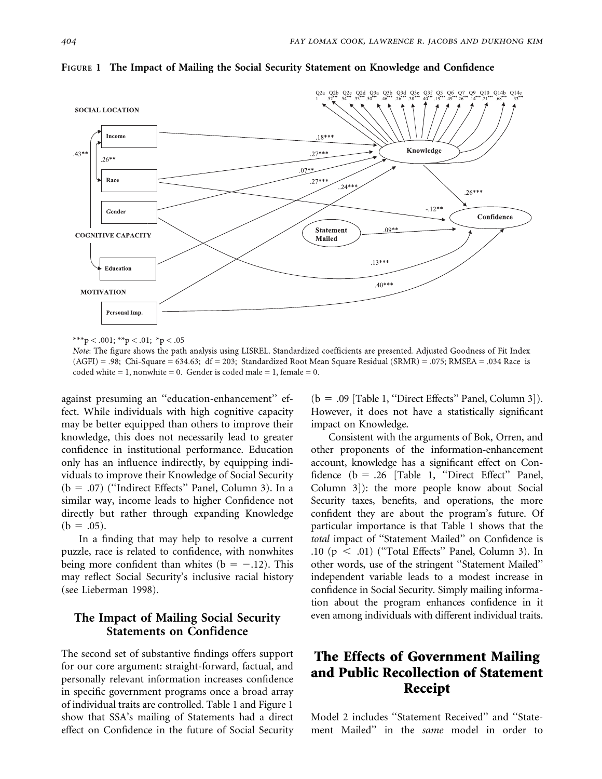

FIGURE 1 The Impact of Mailing the Social Security Statement on Knowledge and Confidence

\*\*\*p < .001; \*\*p < .01; \*p < .05

Note: The figure shows the path analysis using LISREL. Standardized coefficients are presented. Adjusted Goodness of Fit Index  $(AGFI) = .98$ ; Chi-Square = 634.63; df = 203; Standardized Root Mean Square Residual (SRMR) = .075; RMSEA = .034 Race is coded white = 1, nonwhite = 0. Gender is coded male = 1, female = 0.

against presuming an ''education-enhancement'' effect. While individuals with high cognitive capacity may be better equipped than others to improve their knowledge, this does not necessarily lead to greater confidence in institutional performance. Education only has an influence indirectly, by equipping individuals to improve their Knowledge of Social Security (b = .07) ("Indirect Effects" Panel, Column 3). In a similar way, income leads to higher Confidence not directly but rather through expanding Knowledge  $(b = .05)$ .

In a finding that may help to resolve a current puzzle, race is related to confidence, with nonwhites being more confident than whites ( $b = -.12$ ). This may reflect Social Security's inclusive racial history (see Lieberman 1998).

## The Impact of Mailing Social Security Statements on Confidence

The second set of substantive findings offers support for our core argument: straight-forward, factual, and personally relevant information increases confidence in specific government programs once a broad array of individual traits are controlled. Table 1 and Figure 1 show that SSA's mailing of Statements had a direct effect on Confidence in the future of Social Security  $(b = .09$  [Table 1, "Direct Effects" Panel, Column 3]). However, it does not have a statistically significant impact on Knowledge.

Consistent with the arguments of Bok, Orren, and other proponents of the information-enhancement account, knowledge has a significant effect on Confidence  $(b = .26$  [Table 1, "Direct Effect" Panel, Column 3]): the more people know about Social Security taxes, benefits, and operations, the more confident they are about the program's future. Of particular importance is that Table 1 shows that the total impact of ''Statement Mailed'' on Confidence is .10 ( $p < .01$ ) ("Total Effects" Panel, Column 3). In other words, use of the stringent ''Statement Mailed'' independent variable leads to a modest increase in confidence in Social Security. Simply mailing information about the program enhances confidence in it even among individuals with different individual traits.

# The Effects of Government Mailing and Public Recollection of Statement Receipt

Model 2 includes ''Statement Received'' and ''Statement Mailed'' in the same model in order to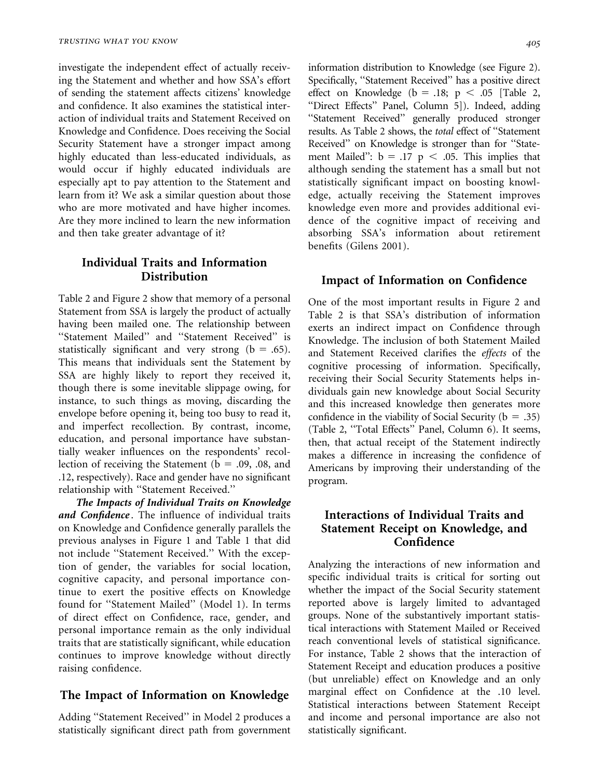investigate the independent effect of actually receiving the Statement and whether and how SSA's effort of sending the statement affects citizens' knowledge and confidence. It also examines the statistical interaction of individual traits and Statement Received on Knowledge and Confidence. Does receiving the Social Security Statement have a stronger impact among highly educated than less-educated individuals, as would occur if highly educated individuals are especially apt to pay attention to the Statement and learn from it? We ask a similar question about those who are more motivated and have higher incomes. Are they more inclined to learn the new information and then take greater advantage of it?

## Individual Traits and Information **Distribution**

Table 2 and Figure 2 show that memory of a personal Statement from SSA is largely the product of actually having been mailed one. The relationship between ''Statement Mailed'' and ''Statement Received'' is statistically significant and very strong  $(b = .65)$ . This means that individuals sent the Statement by SSA are highly likely to report they received it, though there is some inevitable slippage owing, for instance, to such things as moving, discarding the envelope before opening it, being too busy to read it, and imperfect recollection. By contrast, income, education, and personal importance have substantially weaker influences on the respondents' recollection of receiving the Statement ( $b = .09, .08,$  and .12, respectively). Race and gender have no significant relationship with ''Statement Received.''

The Impacts of Individual Traits on Knowledge and Confidence. The influence of individual traits on Knowledge and Confidence generally parallels the previous analyses in Figure 1 and Table 1 that did not include ''Statement Received.'' With the exception of gender, the variables for social location, cognitive capacity, and personal importance continue to exert the positive effects on Knowledge found for ''Statement Mailed'' (Model 1). In terms of direct effect on Confidence, race, gender, and personal importance remain as the only individual traits that are statistically significant, while education continues to improve knowledge without directly raising confidence.

#### The Impact of Information on Knowledge

Adding ''Statement Received'' in Model 2 produces a statistically significant direct path from government

information distribution to Knowledge (see Figure 2). Specifically, ''Statement Received'' has a positive direct effect on Knowledge ( $b = .18$ ;  $p < .05$  [Table 2, "Direct Effects" Panel, Column 5]). Indeed, adding "Statement Received" generally produced stronger results. As Table 2 shows, the total effect of "Statement Received'' on Knowledge is stronger than for ''Statement Mailed":  $b = .17$   $p < .05$ . This implies that although sending the statement has a small but not statistically significant impact on boosting knowledge, actually receiving the Statement improves knowledge even more and provides additional evidence of the cognitive impact of receiving and absorbing SSA's information about retirement benefits (Gilens 2001).

#### Impact of Information on Confidence

One of the most important results in Figure 2 and Table 2 is that SSA's distribution of information exerts an indirect impact on Confidence through Knowledge. The inclusion of both Statement Mailed and Statement Received clarifies the effects of the cognitive processing of information. Specifically, receiving their Social Security Statements helps individuals gain new knowledge about Social Security and this increased knowledge then generates more confidence in the viability of Social Security ( $b = .35$ ) (Table 2, ''Total Effects'' Panel, Column 6). It seems, then, that actual receipt of the Statement indirectly makes a difference in increasing the confidence of Americans by improving their understanding of the program.

## Interactions of Individual Traits and Statement Receipt on Knowledge, and Confidence

Analyzing the interactions of new information and specific individual traits is critical for sorting out whether the impact of the Social Security statement reported above is largely limited to advantaged groups. None of the substantively important statistical interactions with Statement Mailed or Received reach conventional levels of statistical significance. For instance, Table 2 shows that the interaction of Statement Receipt and education produces a positive (but unreliable) effect on Knowledge and an only marginal effect on Confidence at the .10 level. Statistical interactions between Statement Receipt and income and personal importance are also not statistically significant.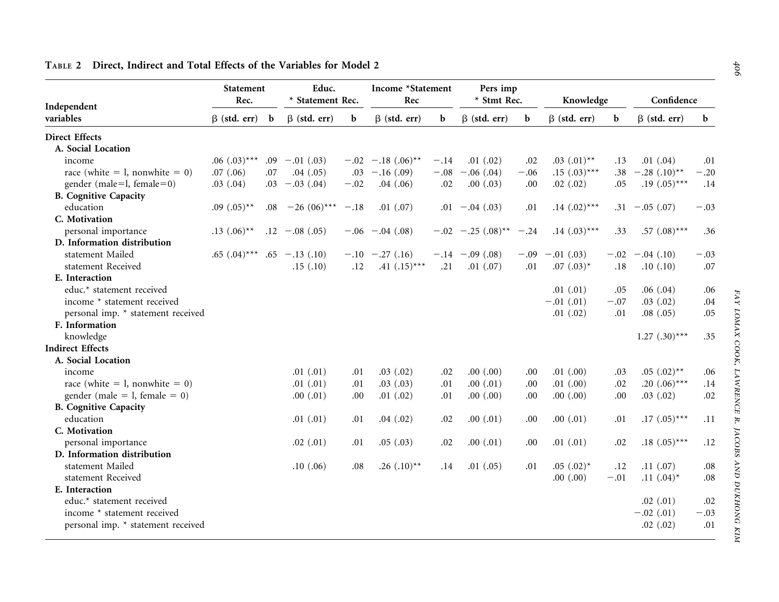| Independent                          | <b>Statement</b><br>Rec.           |     | Educ.<br>* Statement Rec. |        | Income *Statement<br>Rec |        | Pers imp<br>* Stmt Rec.           |             | Knowledge                   |        | Confidence                  |         |
|--------------------------------------|------------------------------------|-----|---------------------------|--------|--------------------------|--------|-----------------------------------|-------------|-----------------------------|--------|-----------------------------|---------|
| variables                            | $\beta$ (std. err) b               |     | $\beta$ (std. err)        | b      | $\beta$ (std. err)       | b      | $\beta$ (std. err)                | $\mathbf b$ | $\beta$ (std. err)          | b      | $\beta$ (std. err)          | b.      |
| <b>Direct Effects</b>                |                                    |     |                           |        |                          |        |                                   |             |                             |        |                             |         |
| A. Social Location                   |                                    |     |                           |        |                          |        |                                   |             |                             |        |                             |         |
| income                               | $.06(.03)***$                      |     | $.09$ -.01 (.03)          |        | $-.02 - .18 (.06)^{**}$  | $-.14$ | $.01$ $(.02)$                     | .02         | $.03$ $(.01)$ <sup>**</sup> | .13    | .01(0.04)                   | .01     |
| race (white $= 1$ , nonwhite $= 0$ ) | .07(.06)                           | .07 | .04(.05)                  |        | $.03 - .16(.09)$         | $-.08$ | $-.06(.04)$                       | $-.06$      | $.15$ $(.03)***$            | .38    | $-.28(.10)^{**}$            | $-.20$  |
| gender (male= $l$ , female= $0$ )    | .03(.04)                           |     | $.03 - .03$ (.04)         | $-.02$ | .04(.06)                 | .02    | .00(0.03)                         | .00.        | $.02$ $(.02)$               | .05    | $.19(.05)***$               | .14     |
| <b>B.</b> Cognitive Capacity         |                                    |     |                           |        |                          |        |                                   |             |                             |        |                             |         |
| education                            | $.09$ $(.05)$ **                   | .08 | $-26(06)$ ***             | $-.18$ | $.01$ $(.07)$            |        | $.01 - .04 (.03)$                 | .01         | $.14 \; (.02)^{***}$        |        | $.31 - .05$ (.07)           | $-.03$  |
| C. Motivation                        |                                    |     |                           |        |                          |        |                                   |             |                             |        |                             |         |
| personal importance                  | $.13$ $(.06)$ <sup>**</sup>        |     | $.12 - .08(.05)$          |        | $-.06$ $-.04$ $(.08)$    |        | $-.02$ $-.25$ $(.08)^{**}$ $-.24$ |             | $.14 \; (.03)^{***}$        | .33    | $.57$ $(.08)$ ***           | .36     |
| D. Information distribution          |                                    |     |                           |        |                          |        |                                   |             |                             |        |                             |         |
| statement Mailed                     | .65 $(.04)$ *** .65 $-.13$ $(.10)$ |     |                           |        | $-.10$ $-.27$ (.16)      |        | $-.14$ -.09 (.08)                 | $-.09$      | $-.01$ (.03)                |        | $-.02$ $-.04$ $(.10)$       | $-.03$  |
| statement Received                   |                                    |     | .15(.10)                  | .12    | .41 $(.15)^{***}$        | .21    | .01(0.07)                         | .01         | $.07$ $(.03)^*$             | .18    | .10(.10)                    | .07     |
| E. Interaction                       |                                    |     |                           |        |                          |        |                                   |             |                             |        |                             |         |
| educ.* statement received            |                                    |     |                           |        |                          |        |                                   |             | $.01$ $(.01)$               | .05    | .06(.04)                    | .06     |
| income * statement received          |                                    |     |                           |        |                          |        |                                   |             | $-.01$ $(.01)$              | $-.07$ | .03(.02)                    | .04     |
| personal imp. * statement received   |                                    |     |                           |        |                          |        |                                   |             | $.01$ $(.02)$               | .01    | .08(.05)                    | .05     |
| F. Information                       |                                    |     |                           |        |                          |        |                                   |             |                             |        |                             |         |
| knowledge                            |                                    |     |                           |        |                          |        |                                   |             |                             |        | $1.27$ $(.30)$ ***          | .35     |
| <b>Indirect Effects</b>              |                                    |     |                           |        |                          |        |                                   |             |                             |        |                             |         |
| A. Social Location                   |                                    |     |                           |        |                          |        |                                   |             |                             |        |                             |         |
| income                               |                                    |     | .01(.01)                  | .01    | .03(.02)                 | .02    | $.00$ $(.00)$                     | .00         | $.01$ $(.00)$               | .03    | $.05$ $(.02)$ <sup>**</sup> | .06     |
| race (white $= 1$ , nonwhite $= 0$ ) |                                    |     | $.01$ $(.01)$             | .01    | .03(.03)                 | .01    | $.00$ $(.01)$                     | .00.        | $.01$ $(.00)$               | .02    | .20 $(.06)$ ***             | .14     |
| gender (male = $l$ , female = 0)     |                                    |     | $.00$ $(.01)$             | .00    | $.01$ $(.02)$            | .01    | .00(.00)                          | .00         | $.00$ $(.00)$               | .00.   | .03(.02)                    | .02     |
| <b>B. Cognitive Capacity</b>         |                                    |     |                           |        |                          |        |                                   |             |                             |        |                             |         |
| education                            |                                    |     | .01(.01)                  | .01    | .04(.02)                 | .02    | $.00$ $(.01)$                     | .00.        | .00(0.01)                   | .01    | $.17$ $(.05)$ ***           | .11     |
| C. Motivation                        |                                    |     |                           |        |                          |        |                                   |             |                             |        |                             |         |
| personal importance                  |                                    |     | .02(.01)                  | .01    | .05(.03)                 | .02    | $.00$ $(.01)$                     | .00         | .01(0.01)                   | .02    | $.18$ $(.05)***$            | .12     |
| D. Information distribution          |                                    |     |                           |        |                          |        |                                   |             |                             |        |                             |         |
| statement Mailed                     |                                    |     | .10(.06)                  | .08    | $.26$ $(.10)^{**}$       | .14    | .01(0.05)                         | .01         | $.05$ $(.02)^*$             | .12    | .11(.07)                    | $.08\,$ |
| statement Received                   |                                    |     |                           |        |                          |        |                                   |             | $.00$ $(.00)$               | $-.01$ | .11 $(.04)^*$               | .08     |
| E. Interaction                       |                                    |     |                           |        |                          |        |                                   |             |                             |        |                             |         |
| educ.* statement received            |                                    |     |                           |        |                          |        |                                   |             |                             |        | $.02$ $(.01)$               | .02     |
| income * statement received          |                                    |     |                           |        |                          |        |                                   |             |                             |        | $-.02$ (.01)                | $-.03$  |
| personal imp. * statement received   |                                    |     |                           |        |                          |        |                                   |             |                             |        | $.02$ $(.02)$               | .01     |

|  |  |  |  |  |  |  |  | TABLE 2 Direct, Indirect and Total Effects of the Variables for Model 2 |  |  |  |
|--|--|--|--|--|--|--|--|-------------------------------------------------------------------------|--|--|--|
|--|--|--|--|--|--|--|--|-------------------------------------------------------------------------|--|--|--|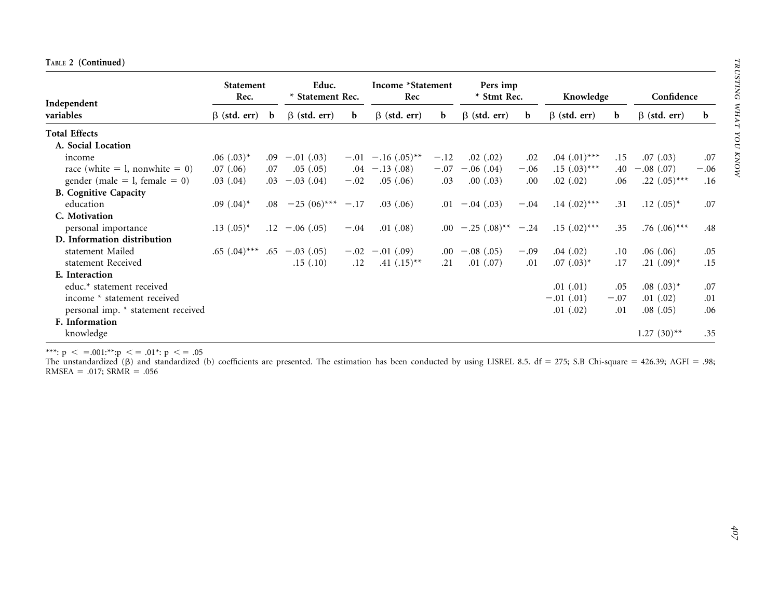#### TABLE 2 (Continued)

| Independent                          | <b>Statement</b><br>Rec. |     | Educ.<br>* Statement Rec. |        | Income *Statement<br>Rec |         | Pers imp<br>* Stmt Rec.          |        | Knowledge            |        | Confidence         |        |
|--------------------------------------|--------------------------|-----|---------------------------|--------|--------------------------|---------|----------------------------------|--------|----------------------|--------|--------------------|--------|
| variables                            | $\beta$ (std. err)       | b   | $\beta$ (std. err)        | b      | $\beta$ (std. err)       | b       | $\beta$ (std. err)               | b      | $\beta$ (std. err)   | b.     | $\beta$ (std. err) | b      |
| <b>Total Effects</b>                 |                          |     |                           |        |                          |         |                                  |        |                      |        |                    |        |
| A. Social Location                   |                          |     |                           |        |                          |         |                                  |        |                      |        |                    |        |
| income                               | $.06(.03)^*$             |     | $.09$ $-.01$ $(.03)$      |        | $-.01 - .16 (.05)^{**}$  | $-.12$  | $.02$ $(.02)$                    | .02    | $.04$ $(.01)$ ***    | .15    | .07(0.03)          | .07    |
| race (white $= 1$ , nonwhite $= 0$ ) | .07(0.06)                | .07 | .05(.05)                  |        | $.04 - .13(.08)$         | $-.07$  | $-.06(.04)$                      | $-.06$ | $.15(.03)***$        | .40    | $-.08(.07)$        | $-.06$ |
| gender (male = $l$ , female = 0)     | .03(0.04)                |     | $.03 - .03$ (.04)         | $-.02$ | .05(.06)                 | .03     | .00(0.03)                        | .00.   | .02(.02)             | .06    | .22 $(.05)$ ***    | .16    |
| <b>B.</b> Cognitive Capacity         |                          |     |                           |        |                          |         |                                  |        |                      |        |                    |        |
| education                            | $.09$ $(.04)^*$          |     | $.08$ -25 $(06)$ ***      | $-.17$ | .03(.06)                 | $.01\,$ | $-.04(.03)$                      | $-.04$ | $.14 \; (.02)^{***}$ | .31    | $.12$ $(.05)^*$    | .07    |
| C. Motivation                        |                          |     |                           |        |                          |         |                                  |        |                      |        |                    |        |
| personal importance                  | $.13$ $(.05)^*$          |     | $.12 - .06(.05)$          | $-.04$ | .01(0.08)                | .00.    | $-.25(.08)$ <sup>**</sup> $-.24$ |        | $.15(.02)***$        | .35    | .76 $(.06)***$     | .48    |
| D. Information distribution          |                          |     |                           |        |                          |         |                                  |        |                      |        |                    |        |
| statement Mailed                     | $.65$ $(.04)$ ***        |     | $.65 - .03(.05)$          | $-.02$ | $-.01(.09)$              | .00.    | $-.08(.05)$                      | $-.09$ | .04(.02)             | .10    | .06(.06)           | .05    |
| statement Received                   |                          |     | .15(.10)                  | .12    | $.41$ $(.15)^{**}$       | .21     | $.01$ $(.07)$                    | .01    | $.07$ $(.03)^*$      | .17    | $.21 \; (.09)^*$   | .15    |
| E. Interaction                       |                          |     |                           |        |                          |         |                                  |        |                      |        |                    |        |
| educ.* statement received            |                          |     |                           |        |                          |         |                                  |        | .01(0.01)            | .05    | $.08(.03)^*$       | .07    |
| income * statement received          |                          |     |                           |        |                          |         |                                  |        | $-.01$ $(.01)$       | $-.07$ | .01(0.02)          | .01    |
| personal imp. * statement received   |                          |     |                           |        |                          |         |                                  |        | $.01$ $(.02)$        | .01    | .08(.05)           | .06    |
| F. Information                       |                          |     |                           |        |                          |         |                                  |        |                      |        |                    |        |
| knowledge                            |                          |     |                           |        |                          |         |                                  |        |                      |        | $1.27(30)$ **      | .35    |

\*\*\*:  $p$  < =.001:\*\*: $p$  < = .01\*:  $p$  < = .05

The unstandardized (β) and standardized (b) coefficients are presented. The estimation has been conducted by using LISREL 8.5. df = 275; S.B Chi-square = 426.39; AGFI = .98; RMSEA <sup>5</sup> .017; SRMR <sup>5</sup> .056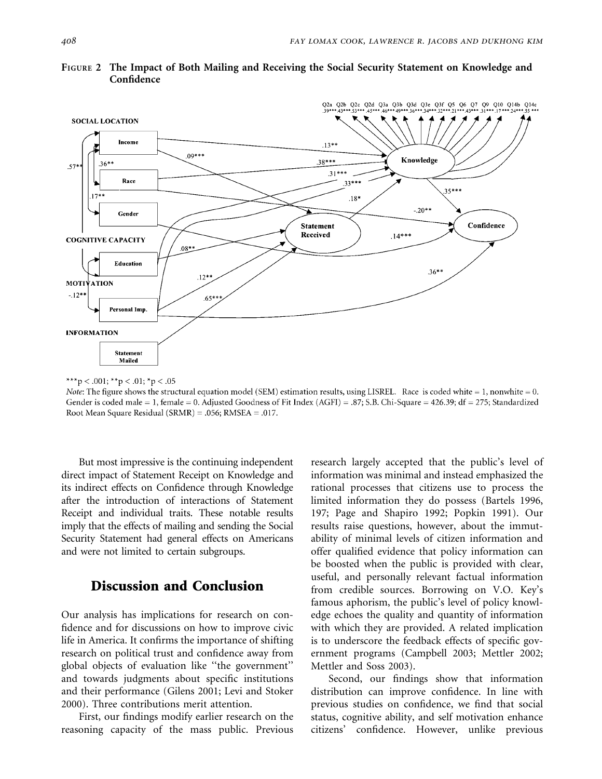

FIGURE 2 The Impact of Both Mailing and Receiving the Social Security Statement on Knowledge and Confidence

\*\*\*p < .001; \*\*p < .01; \*p < .05

Note: The figure shows the structural equation model (SEM) estimation results, using LISREL. Race is coded white  $= 1$ , nonwhite  $= 0$ . Gender is coded male = 1, female = 0. Adjusted Goodness of Fit Index (AGFI) = .87; S.B. Chi-Square = 426.39; df = 275; Standardized Root Mean Square Residual  $(SRMR) = .056$ ; RMSEA = .017.

But most impressive is the continuing independent direct impact of Statement Receipt on Knowledge and its indirect effects on Confidence through Knowledge after the introduction of interactions of Statement Receipt and individual traits. These notable results imply that the effects of mailing and sending the Social Security Statement had general effects on Americans and were not limited to certain subgroups.

# Discussion and Conclusion

Our analysis has implications for research on confidence and for discussions on how to improve civic life in America. It confirms the importance of shifting research on political trust and confidence away from global objects of evaluation like ''the government'' and towards judgments about specific institutions and their performance (Gilens 2001; Levi and Stoker 2000). Three contributions merit attention.

First, our findings modify earlier research on the reasoning capacity of the mass public. Previous research largely accepted that the public's level of information was minimal and instead emphasized the rational processes that citizens use to process the limited information they do possess (Bartels 1996, 197; Page and Shapiro 1992; Popkin 1991). Our results raise questions, however, about the immutability of minimal levels of citizen information and offer qualified evidence that policy information can be boosted when the public is provided with clear, useful, and personally relevant factual information from credible sources. Borrowing on V.O. Key's famous aphorism, the public's level of policy knowledge echoes the quality and quantity of information with which they are provided. A related implication is to underscore the feedback effects of specific government programs (Campbell 2003; Mettler 2002; Mettler and Soss 2003).

Second, our findings show that information distribution can improve confidence. In line with previous studies on confidence, we find that social status, cognitive ability, and self motivation enhance citizens' confidence. However, unlike previous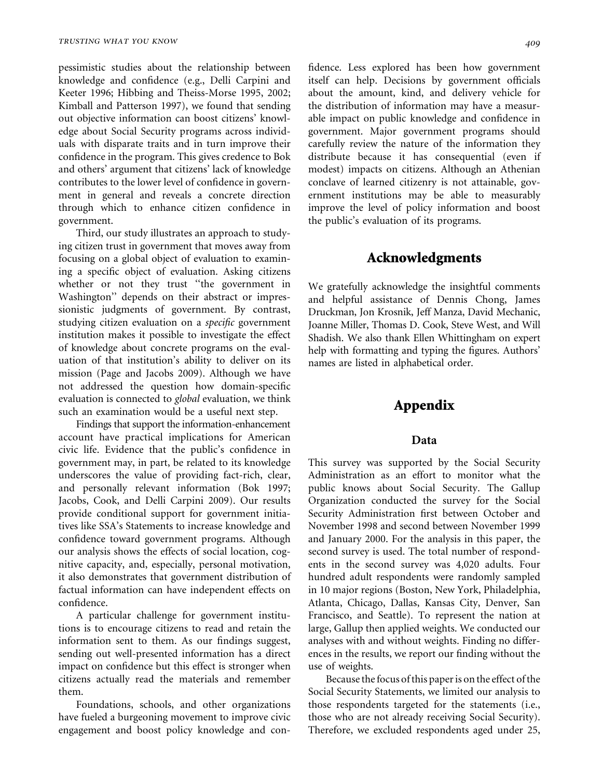pessimistic studies about the relationship between knowledge and confidence (e.g., Delli Carpini and Keeter 1996; Hibbing and Theiss-Morse 1995, 2002; Kimball and Patterson 1997), we found that sending out objective information can boost citizens' knowledge about Social Security programs across individuals with disparate traits and in turn improve their confidence in the program. This gives credence to Bok and others' argument that citizens' lack of knowledge contributes to the lower level of confidence in government in general and reveals a concrete direction through which to enhance citizen confidence in government.

Third, our study illustrates an approach to studying citizen trust in government that moves away from focusing on a global object of evaluation to examining a specific object of evaluation. Asking citizens whether or not they trust "the government in Washington'' depends on their abstract or impressionistic judgments of government. By contrast, studying citizen evaluation on a specific government institution makes it possible to investigate the effect of knowledge about concrete programs on the evaluation of that institution's ability to deliver on its mission (Page and Jacobs 2009). Although we have not addressed the question how domain-specific evaluation is connected to global evaluation, we think such an examination would be a useful next step.

Findings that support the information-enhancement account have practical implications for American civic life. Evidence that the public's confidence in government may, in part, be related to its knowledge underscores the value of providing fact-rich, clear, and personally relevant information (Bok 1997; Jacobs, Cook, and Delli Carpini 2009). Our results provide conditional support for government initiatives like SSA's Statements to increase knowledge and confidence toward government programs. Although our analysis shows the effects of social location, cognitive capacity, and, especially, personal motivation, it also demonstrates that government distribution of factual information can have independent effects on confidence.

A particular challenge for government institutions is to encourage citizens to read and retain the information sent to them. As our findings suggest, sending out well-presented information has a direct impact on confidence but this effect is stronger when citizens actually read the materials and remember them.

Foundations, schools, and other organizations have fueled a burgeoning movement to improve civic engagement and boost policy knowledge and confidence. Less explored has been how government itself can help. Decisions by government officials about the amount, kind, and delivery vehicle for the distribution of information may have a measurable impact on public knowledge and confidence in government. Major government programs should carefully review the nature of the information they distribute because it has consequential (even if modest) impacts on citizens. Although an Athenian conclave of learned citizenry is not attainable, government institutions may be able to measurably improve the level of policy information and boost the public's evaluation of its programs.

## Acknowledgments

We gratefully acknowledge the insightful comments and helpful assistance of Dennis Chong, James Druckman, Jon Krosnik, Jeff Manza, David Mechanic, Joanne Miller, Thomas D. Cook, Steve West, and Will Shadish. We also thank Ellen Whittingham on expert help with formatting and typing the figures. Authors' names are listed in alphabetical order.

# Appendix

#### Data

This survey was supported by the Social Security Administration as an effort to monitor what the public knows about Social Security. The Gallup Organization conducted the survey for the Social Security Administration first between October and November 1998 and second between November 1999 and January 2000. For the analysis in this paper, the second survey is used. The total number of respondents in the second survey was 4,020 adults. Four hundred adult respondents were randomly sampled in 10 major regions (Boston, New York, Philadelphia, Atlanta, Chicago, Dallas, Kansas City, Denver, San Francisco, and Seattle). To represent the nation at large, Gallup then applied weights. We conducted our analyses with and without weights. Finding no differences in the results, we report our finding without the use of weights.

Because the focus of this paper is on the effect of the Social Security Statements, we limited our analysis to those respondents targeted for the statements (i.e., those who are not already receiving Social Security). Therefore, we excluded respondents aged under 25,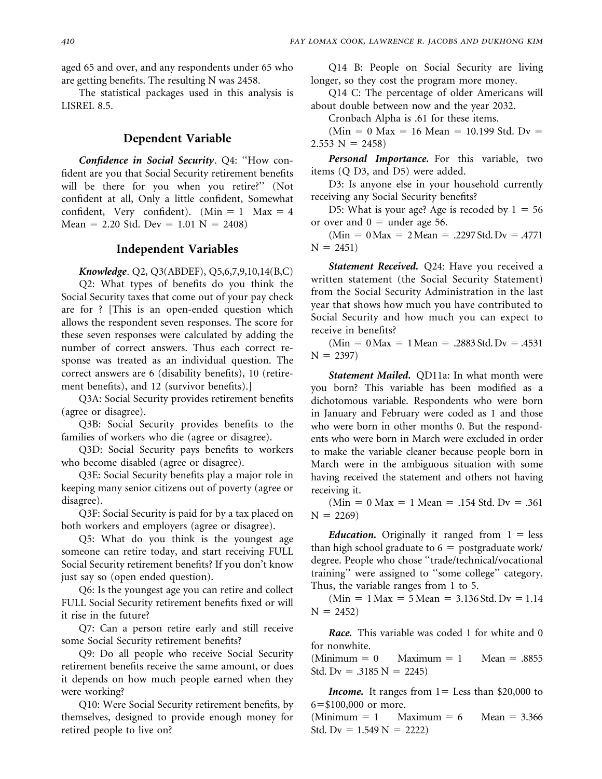aged 65 and over, and any respondents under 65 who are getting benefits. The resulting N was 2458.

The statistical packages used in this analysis is LISREL 8.5.

## Dependent Variable

Confidence in Social Security. Q4: ''How confident are you that Social Security retirement benefits will be there for you when you retire?'' (Not confident at all, Only a little confident, Somewhat confident, Very confident). (Min = 1 Max = 4 Mean = 2.20 Std. Dev =  $1.01$  N = 2408)

#### Independent Variables

Knowledge. Q2, Q3(ABDEF), Q5,6,7,9,10,14(B,C)

Q2: What types of benefits do you think the Social Security taxes that come out of your pay check are for ? [This is an open-ended question which allows the respondent seven responses. The score for these seven responses were calculated by adding the number of correct answers. Thus each correct response was treated as an individual question. The correct answers are 6 (disability benefits), 10 (retirement benefits), and 12 (survivor benefits).]

Q3A: Social Security provides retirement benefits (agree or disagree).

Q3B: Social Security provides benefits to the families of workers who die (agree or disagree).

Q3D: Social Security pays benefits to workers who become disabled (agree or disagree).

Q3E: Social Security benefits play a major role in keeping many senior citizens out of poverty (agree or disagree).

Q3F: Social Security is paid for by a tax placed on both workers and employers (agree or disagree).

Q5: What do you think is the youngest age someone can retire today, and start receiving FULL Social Security retirement benefits? If you don't know just say so (open ended question).

Q6: Is the youngest age you can retire and collect FULL Social Security retirement benefits fixed or will it rise in the future?

Q7: Can a person retire early and still receive some Social Security retirement benefits?

Q9: Do all people who receive Social Security retirement benefits receive the same amount, or does it depends on how much people earned when they were working?

Q10: Were Social Security retirement benefits, by themselves, designed to provide enough money for retired people to live on?

Q14 B: People on Social Security are living longer, so they cost the program more money.

Q14 C: The percentage of older Americans will about double between now and the year 2032.

Cronbach Alpha is .61 for these items.

 $(Min = 0$  Max = 16 Mean = 10.199 Std. Dv =  $2.553 N = 2458$ 

Personal Importance. For this variable, two items (Q D3, and D5) were added.

D3: Is anyone else in your household currently receiving any Social Security benefits?

D5: What is your age? Age is recoded by  $1 = 56$ or over and  $0 =$  under age 56.

 $(Min = 0$  Max = 2 Mean = .2297 Std. Dv = .4771  $N = 2451$ 

Statement Received. Q24: Have you received a written statement (the Social Security Statement) from the Social Security Administration in the last year that shows how much you have contributed to Social Security and how much you can expect to receive in benefits?

 $(Min = 0$  Max = 1 Mean = .2883 Std. Dv = .4531  $N = 2397$ 

Statement Mailed. OD11a: In what month were you born? This variable has been modified as a dichotomous variable. Respondents who were born in January and February were coded as 1 and those who were born in other months 0. But the respondents who were born in March were excluded in order to make the variable cleaner because people born in March were in the ambiguous situation with some having received the statement and others not having receiving it.

 $(Min = 0$  Max = 1 Mean = .154 Std. Dv = .361  $N = 2269$ 

*Education.* Originally it ranged from  $1 =$  less than high school graduate to  $6 =$  postgraduate work/ degree. People who chose ''trade/technical/vocational training'' were assigned to ''some college'' category. Thus, the variable ranges from 1 to 5.

 $(Min = 1$  Max = 5 Mean = 3.136 Std. Dv = 1.14  $N = 2452$ 

Race. This variable was coded 1 for white and 0 for nonwhite.

 $(Minimum = 0$  Maximum = 1 Mean = .8855 Std. Dv =  $.3185 N = 2245$ 

**Income.** It ranges from  $1 =$  Less than \$20,000 to  $6 = $100,000$  or more.

 $(Minimum = 1$  Maximum = 6 Mean = 3.366 Std. Dv =  $1.549$  N = 2222)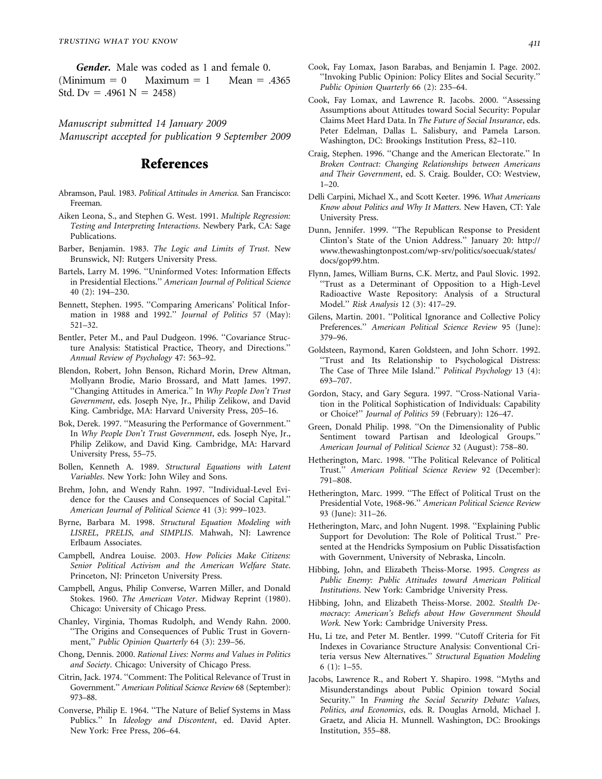Gender. Male was coded as 1 and female 0.  $(Minimum = 0$  Maximum = 1 Mean = .4365 Std. Dv = .4961 N = 2458)

Manuscript submitted 14 January 2009 Manuscript accepted for publication 9 September 2009

# References

- Abramson, Paul. 1983. Political Attitudes in America. San Francisco: Freeman.
- Aiken Leona, S., and Stephen G. West. 1991. Multiple Regression: Testing and Interpreting Interactions. Newbery Park, CA: Sage Publications.
- Barber, Benjamin. 1983. The Logic and Limits of Trust. New Brunswick, NJ: Rutgers University Press.
- Bartels, Larry M. 1996. ''Uninformed Votes: Information Effects in Presidential Elections.'' American Journal of Political Science 40 (2): 194–230.
- Bennett, Stephen. 1995. ''Comparing Americans' Political Information in 1988 and 1992.'' Journal of Politics 57 (May): 521–32.
- Bentler, Peter M., and Paul Dudgeon. 1996. ''Covariance Structure Analysis: Statistical Practice, Theory, and Directions.'' Annual Review of Psychology 47: 563–92.
- Blendon, Robert, John Benson, Richard Morin, Drew Altman, Mollyann Brodie, Mario Brossard, and Matt James. 1997. ''Changing Attitudes in America.'' In Why People Don't Trust Government, eds. Joseph Nye, Jr., Philip Zelikow, and David King. Cambridge, MA: Harvard University Press, 205–16.
- Bok, Derek. 1997. ''Measuring the Performance of Government.'' In Why People Don't Trust Government, eds. Joseph Nye, Jr., Philip Zelikow, and David King. Cambridge, MA: Harvard University Press, 55–75.
- Bollen, Kenneth A. 1989. Structural Equations with Latent Variables. New York: John Wiley and Sons.
- Brehm, John, and Wendy Rahn. 1997. ''Individual-Level Evidence for the Causes and Consequences of Social Capital.'' American Journal of Political Science 41 (3): 999–1023.
- Byrne, Barbara M. 1998. Structural Equation Modeling with LISREL, PRELIS, and SIMPLIS. Mahwah, NJ: Lawrence Erlbaum Associates.
- Campbell, Andrea Louise. 2003. How Policies Make Citizens: Senior Political Activism and the American Welfare State. Princeton, NJ: Princeton University Press.
- Campbell, Angus, Philip Converse, Warren Miller, and Donald Stokes. 1960. The American Voter. Midway Reprint (1980). Chicago: University of Chicago Press.
- Chanley, Virginia, Thomas Rudolph, and Wendy Rahn. 2000. ''The Origins and Consequences of Public Trust in Government," Public Opinion Quarterly 64 (3): 239-56.
- Chong, Dennis. 2000. Rational Lives: Norms and Values in Politics and Society. Chicago: University of Chicago Press.
- Citrin, Jack. 1974. ''Comment: The Political Relevance of Trust in Government.'' American Political Science Review 68 (September): 973–88.
- Converse, Philip E. 1964. ''The Nature of Belief Systems in Mass Publics.'' In Ideology and Discontent, ed. David Apter. New York: Free Press, 206–64.
- Cook, Fay Lomax, Jason Barabas, and Benjamin I. Page. 2002. ''Invoking Public Opinion: Policy Elites and Social Security.'' Public Opinion Quarterly 66 (2): 235–64.
- Cook, Fay Lomax, and Lawrence R. Jacobs. 2000. ''Assessing Assumptions about Attitudes toward Social Security: Popular Claims Meet Hard Data. In The Future of Social Insurance, eds. Peter Edelman, Dallas L. Salisbury, and Pamela Larson. Washington, DC: Brookings Institution Press, 82–110.
- Craig, Stephen. 1996. ''Change and the American Electorate.'' In Broken Contract: Changing Relationships between Americans and Their Government, ed. S. Craig. Boulder, CO: Westview, 1–20.
- Delli Carpini, Michael X., and Scott Keeter. 1996. What Americans Know about Politics and Why It Matters. New Haven, CT: Yale University Press.
- Dunn, Jennifer. 1999. ''The Republican Response to President Clinton's State of the Union Address.'' January 20: http:// www.thewashingtonpost.com/wp-srv/politics/soecuak/states/ docs/gop99.htm.
- Flynn, James, William Burns, C.K. Mertz, and Paul Slovic. 1992. ''Trust as a Determinant of Opposition to a High-Level Radioactive Waste Repository: Analysis of a Structural Model.'' Risk Analysis 12 (3): 417–29.
- Gilens, Martin. 2001. ''Political Ignorance and Collective Policy Preferences.'' American Political Science Review 95 (June): 379–96.
- Goldsteen, Raymond, Karen Goldsteen, and John Schorr. 1992. ''Trust and Its Relationship to Psychological Distress: The Case of Three Mile Island.'' Political Psychology 13 (4): 693–707.
- Gordon, Stacy, and Gary Segura. 1997. ''Cross-National Variation in the Political Sophistication of Individuals: Capability or Choice?'' Journal of Politics 59 (February): 126–47.
- Green, Donald Philip. 1998. ''On the Dimensionality of Public Sentiment toward Partisan and Ideological Groups.'' American Journal of Political Science 32 (August): 758–80.
- Hetherington, Marc. 1998. ''The Political Relevance of Political Trust.'' American Political Science Review 92 (December): 791–808.
- Hetherington, Marc. 1999. ''The Effect of Political Trust on the Presidential Vote, 1968-96.'' American Political Science Review 93 (June): 311–26.
- Hetherington, Marc, and John Nugent. 1998. ''Explaining Public Support for Devolution: The Role of Political Trust.'' Presented at the Hendricks Symposium on Public Dissatisfaction with Government, University of Nebraska, Lincoln.
- Hibbing, John, and Elizabeth Theiss-Morse. 1995. Congress as Public Enemy: Public Attitudes toward American Political Institutions. New York: Cambridge University Press.
- Hibbing, John, and Elizabeth Theiss-Morse. 2002. Stealth Democracy: American's Beliefs about How Government Should Work. New York: Cambridge University Press.
- Hu, Li tze, and Peter M. Bentler. 1999. ''Cutoff Criteria for Fit Indexes in Covariance Structure Analysis: Conventional Criteria versus New Alternatives.'' Structural Equation Modeling 6 (1): 1–55.
- Jacobs, Lawrence R., and Robert Y. Shapiro. 1998. ''Myths and Misunderstandings about Public Opinion toward Social Security.'' In Framing the Social Security Debate: Values, Politics, and Economics, eds. R. Douglas Arnold, Michael J. Graetz, and Alicia H. Munnell. Washington, DC: Brookings Institution, 355–88.